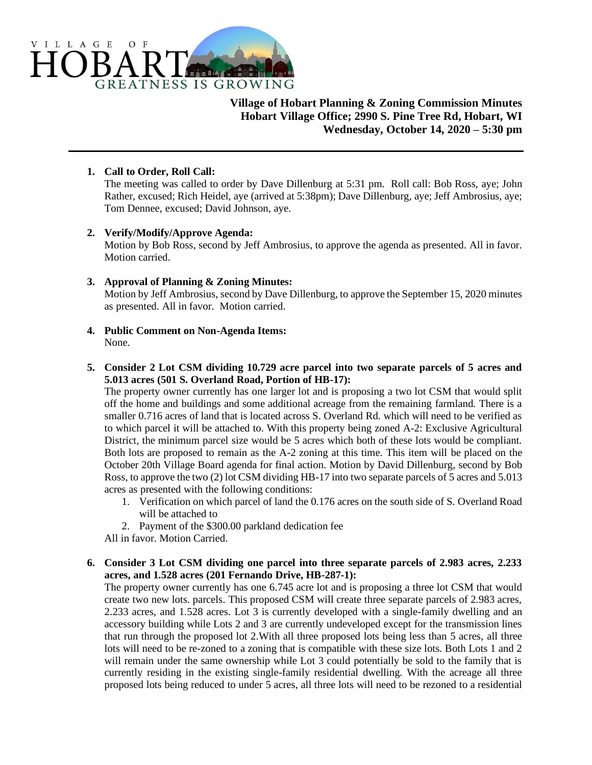

# **Village of Hobart Planning & Zoning Commission Minutes Hobart Village Office; 2990 S. Pine Tree Rd, Hobart, WI Wednesday, October 14, 2020 – 5:30 pm**

### **1. Call to Order, Roll Call:**

The meeting was called to order by Dave Dillenburg at 5:31 pm. Roll call: Bob Ross, aye; John Rather, excused; Rich Heidel, aye (arrived at 5:38pm); Dave Dillenburg, aye; Jeff Ambrosius, aye; Tom Dennee, excused; David Johnson, aye.

#### **2. Verify/Modify/Approve Agenda:**

Motion by Bob Ross, second by Jeff Ambrosius, to approve the agenda as presented. All in favor. Motion carried.

# **3. Approval of Planning & Zoning Minutes:**

Motion by Jeff Ambrosius, second by Dave Dillenburg, to approve the September 15, 2020 minutes as presented. All in favor. Motion carried.

- **4. Public Comment on Non-Agenda Items:** None.
- **5. Consider 2 Lot CSM dividing 10.729 acre parcel into two separate parcels of 5 acres and 5.013 acres (501 S. Overland Road, Portion of HB-17):**

The property owner currently has one larger lot and is proposing a two lot CSM that would split off the home and buildings and some additional acreage from the remaining farmland. There is a smaller 0.716 acres of land that is located across S. Overland Rd. which will need to be verified as to which parcel it will be attached to. With this property being zoned A-2: Exclusive Agricultural District, the minimum parcel size would be 5 acres which both of these lots would be compliant. Both lots are proposed to remain as the A-2 zoning at this time. This item will be placed on the October 20th Village Board agenda for final action. Motion by David Dillenburg, second by Bob Ross, to approve the two (2) lot CSM dividing HB-17 into two separate parcels of 5 acres and 5.013 acres as presented with the following conditions:

- 1. Verification on which parcel of land the 0.176 acres on the south side of S. Overland Road will be attached to
- 2. Payment of the \$300.00 parkland dedication fee

All in favor. Motion Carried.

# **6. Consider 3 Lot CSM dividing one parcel into three separate parcels of 2.983 acres, 2.233 acres, and 1.528 acres (201 Fernando Drive, HB-287-1):**

The property owner currently has one 6.745 acre lot and is proposing a three lot CSM that would create two new lots. parcels. This proposed CSM will create three separate parcels of 2.983 acres, 2.233 acres, and 1.528 acres. Lot 3 is currently developed with a single-family dwelling and an accessory building while Lots 2 and 3 are currently undeveloped except for the transmission lines that run through the proposed lot 2.With all three proposed lots being less than 5 acres, all three lots will need to be re-zoned to a zoning that is compatible with these size lots. Both Lots 1 and 2 will remain under the same ownership while Lot 3 could potentially be sold to the family that is currently residing in the existing single-family residential dwelling. With the acreage all three proposed lots being reduced to under 5 acres, all three lots will need to be rezoned to a residential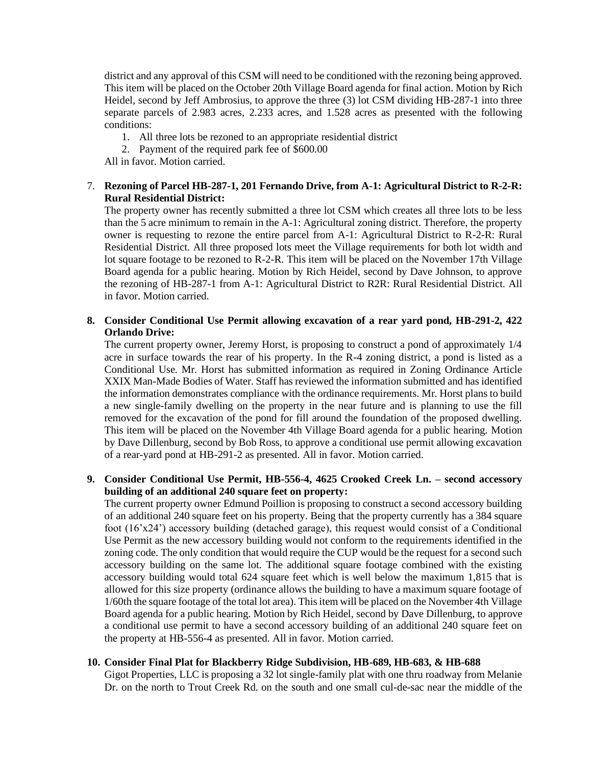district and any approval of this CSM will need to be conditioned with the rezoning being approved. This item will be placed on the October 20th Village Board agenda for final action. Motion by Rich Heidel, second by Jeff Ambrosius, to approve the three (3) lot CSM dividing HB-287-1 into three separate parcels of 2.983 acres, 2.233 acres, and 1.528 acres as presented with the following conditions:

- 1. All three lots be rezoned to an appropriate residential district
- 2. Payment of the required park fee of \$600.00

All in favor. Motion carried.

### 7. **Rezoning of Parcel HB-287-1, 201 Fernando Drive, from A-1: Agricultural District to R-2-R: Rural Residential District:**

The property owner has recently submitted a three lot CSM which creates all three lots to be less than the 5 acre minimum to remain in the A-1: Agricultural zoning district. Therefore, the property owner is requesting to rezone the entire parcel from A-1: Agricultural District to R-2-R: Rural Residential District. All three proposed lots meet the Village requirements for both lot width and lot square footage to be rezoned to R-2-R. This item will be placed on the November 17th Village Board agenda for a public hearing. Motion by Rich Heidel, second by Dave Johnson, to approve the rezoning of HB-287-1 from A-1: Agricultural District to R2R: Rural Residential District. All in favor. Motion carried.

#### **8. Consider Conditional Use Permit allowing excavation of a rear yard pond, HB-291-2, 422 Orlando Drive:**

The current property owner, Jeremy Horst, is proposing to construct a pond of approximately 1/4 acre in surface towards the rear of his property. In the R-4 zoning district, a pond is listed as a Conditional Use. Mr. Horst has submitted information as required in Zoning Ordinance Article XXIX Man-Made Bodies of Water. Staff has reviewed the information submitted and has identified the information demonstrates compliance with the ordinance requirements. Mr. Horst plans to build a new single-family dwelling on the property in the near future and is planning to use the fill removed for the excavation of the pond for fill around the foundation of the proposed dwelling. This item will be placed on the November 4th Village Board agenda for a public hearing. Motion by Dave Dillenburg, second by Bob Ross, to approve a conditional use permit allowing excavation of a rear-yard pond at HB-291-2 as presented. All in favor. Motion carried.

# **9. Consider Conditional Use Permit, HB-556-4, 4625 Crooked Creek Ln. – second accessory building of an additional 240 square feet on property:**

The current property owner Edmund Poillion is proposing to construct a second accessory building of an additional 240 square feet on his property. Being that the property currently has a 384 square foot (16'x24') accessory building (detached garage), this request would consist of a Conditional Use Permit as the new accessory building would not conform to the requirements identified in the zoning code. The only condition that would require the CUP would be the request for a second such accessory building on the same lot. The additional square footage combined with the existing accessory building would total 624 square feet which is well below the maximum 1,815 that is allowed for this size property (ordinance allows the building to have a maximum square footage of 1/60th the square footage of the total lot area). This item will be placed on the November 4th Village Board agenda for a public hearing. Motion by Rich Heidel, second by Dave Dillenburg, to approve a conditional use permit to have a second accessory building of an additional 240 square feet on the property at HB-556-4 as presented. All in favor. Motion carried.

#### **10. Consider Final Plat for Blackberry Ridge Subdivision, HB-689, HB-683, & HB-688**

Gigot Properties, LLC is proposing a 32 lot single-family plat with one thru roadway from Melanie Dr. on the north to Trout Creek Rd. on the south and one small cul-de-sac near the middle of the